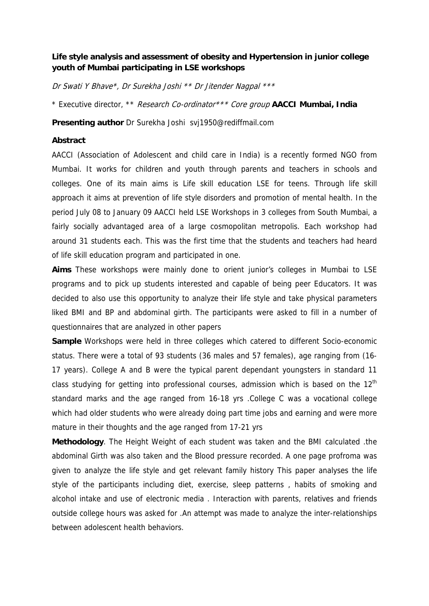## **Life style analysis and assessment of obesity and Hypertension in junior college youth of Mumbai participating in LSE workshops**

Dr Swati Y Bhave\*, Dr Surekha Joshi \*\* Dr Jitender Nagpal \*\*\*

\* Executive director, \*\* Research Co-ordinator\*\*\* Core group **AACCI Mumbai, India**

**Presenting author** Dr Surekha Joshi svj1950@rediffmail.com

## **Abstract**

AACCI (Association of Adolescent and child care in India) is a recently formed NGO from Mumbai. It works for children and youth through parents and teachers in schools and colleges. One of its main aims is Life skill education LSE for teens. Through life skill approach it aims at prevention of life style disorders and promotion of mental health. In the period July 08 to January 09 AACCI held LSE Workshops in 3 colleges from South Mumbai, a fairly socially advantaged area of a large cosmopolitan metropolis. Each workshop had around 31 students each. This was the first time that the students and teachers had heard of life skill education program and participated in one.

**Aims** These workshops were mainly done to orient junior's colleges in Mumbai to LSE programs and to pick up students interested and capable of being peer Educators. It was decided to also use this opportunity to analyze their life style and take physical parameters liked BMI and BP and abdominal girth. The participants were asked to fill in a number of questionnaires that are analyzed in other papers

**Sample** Workshops were held in three colleges which catered to different Socio-economic status. There were a total of 93 students (36 males and 57 females), age ranging from (16- 17 years). College A and B were the typical parent dependant youngsters in standard 11 class studying for getting into professional courses, admission which is based on the  $12<sup>th</sup>$ standard marks and the age ranged from 16-18 yrs .College C was a vocational college which had older students who were already doing part time jobs and earning and were more mature in their thoughts and the age ranged from 17-21 yrs

**Methodology**. The Height Weight of each student was taken and the BMI calculated .the abdominal Girth was also taken and the Blood pressure recorded. A one page profroma was given to analyze the life style and get relevant family history This paper analyses the life style of the participants including diet, exercise, sleep patterns , habits of smoking and alcohol intake and use of electronic media . Interaction with parents, relatives and friends outside college hours was asked for .An attempt was made to analyze the inter-relationships between adolescent health behaviors.